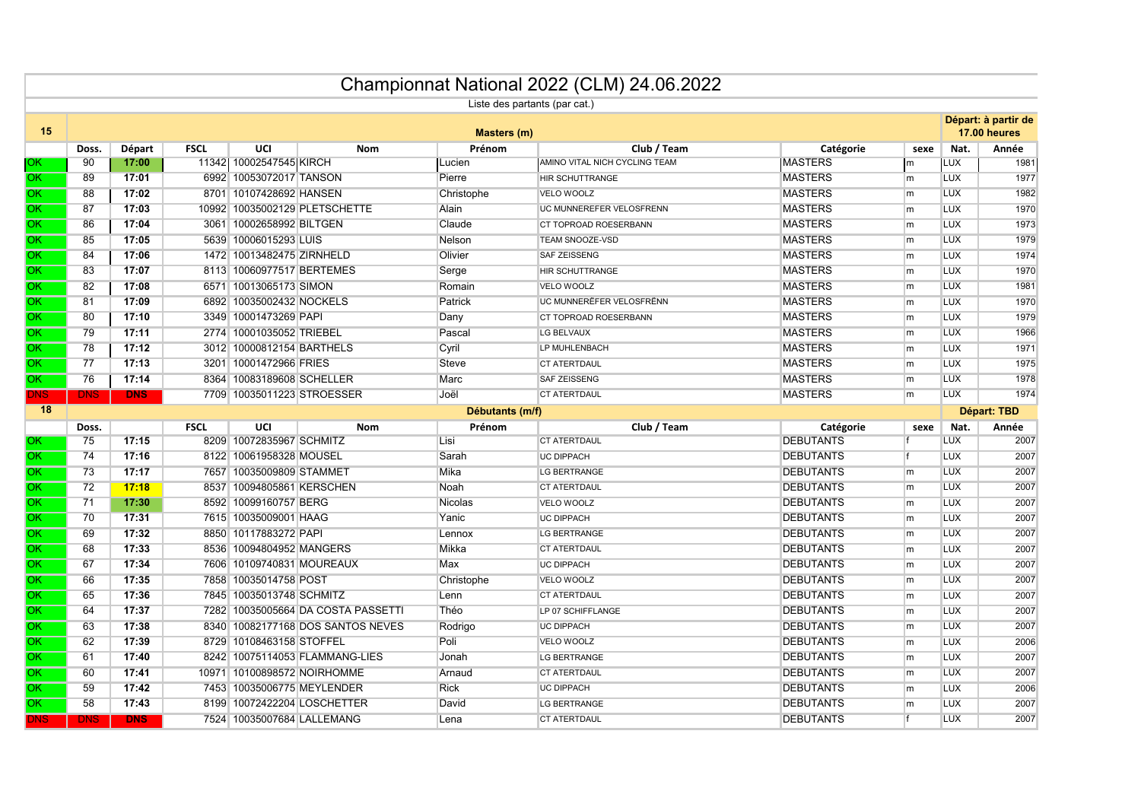|                        |                    |                 |             |                            |                                    |                               | Championnat National 2022 (CLM) 24.06.2022 |                                      |      |                                     |             |
|------------------------|--------------------|-----------------|-------------|----------------------------|------------------------------------|-------------------------------|--------------------------------------------|--------------------------------------|------|-------------------------------------|-------------|
|                        |                    |                 |             |                            |                                    | Liste des partants (par cat.) |                                            |                                      |      |                                     |             |
| 15                     | <b>Masters (m)</b> |                 |             |                            |                                    |                               |                                            |                                      |      | Départ: à partir de<br>17.00 heures |             |
|                        | Doss.              | Départ          | <b>FSCL</b> | UCI                        | Nom                                | Prénom                        | Club / Team                                | Catégorie                            | sexe | Nat.                                | Année       |
| OK.                    | 90                 | 17:00           |             | 11342  10002547545  KIRCH  |                                    | Lucien                        | AMINO VITAL NICH CYCLING TEAM              | <b>MASTERS</b>                       | m    | <b>LUX</b>                          | 1981        |
| OK.                    | 89                 | 17:01           |             | 6992 10053072017 TANSON    |                                    | Pierre                        | <b>HIR SCHUTTRANGE</b>                     | <b>MASTERS</b>                       | m    | <b>LUX</b>                          | 1977        |
| OK.                    | 88                 | 17:02           |             | 8701 10107428692 HANSEN    |                                    | Christophe                    | <b>VELO WOOLZ</b>                          | <b>MASTERS</b>                       | m    | <b>LUX</b>                          | 1982        |
| ЮK                     | 87                 | 17:03           |             |                            | 10992 10035002129 PLETSCHETTE      | Alain                         | UC MUNNEREFER VELOSFRENN                   | <b>MASTERS</b>                       | m    | <b>LUX</b>                          | 1970        |
| IOK.                   | 86                 | 17:04           |             | 3061 10002658992 BILTGEN   |                                    | Claude                        | CT TOPROAD ROESERBANN                      | <b>MASTERS</b>                       | m    | <b>LUX</b>                          | 1973        |
| IOK.                   | 85                 | 17:05           |             | 5639 10006015293 LUIS      |                                    | Nelson                        | TEAM SNOOZE-VSD                            | <b>MASTERS</b>                       | m    | <b>LUX</b>                          | 1979        |
| OK.                    | 84                 | 17:06           |             | 1472 10013482475 ZIRNHELD  |                                    | Olivier                       | <b>SAF ZEISSENG</b>                        | <b>MASTERS</b>                       | m    | <b>LUX</b>                          | 1974        |
| ЮK                     | 83                 | 17:07           |             | 8113 10060977517 BERTEMES  |                                    | Serge                         | <b>HIR SCHUTTRANGE</b>                     | <b>MASTERS</b>                       | m    | <b>LUX</b>                          | 1970        |
| <b>OK</b>              | 82                 | 17:08           |             | 6571 10013065173 SIMON     |                                    | Romain                        | VELO WOOLZ                                 | <b>MASTERS</b>                       | m    | <b>LUX</b>                          | 1981        |
| <b>OK</b>              | 81                 | 17:09           |             | 6892 10035002432 NOCKELS   |                                    | Patrick                       | UC MUNNERËFER VELOSFRËNN                   | <b>MASTERS</b>                       | m    | <b>LUX</b>                          | 1970        |
| OK                     | 80                 | 17:10           |             | 3349 10001473269 PAPI      |                                    | Dany                          | CT TOPROAD ROESERBANN                      | <b>MASTERS</b>                       | m.   | <b>LUX</b>                          | 1979        |
| OK                     | 79                 | 17:11           |             | 2774 10001035052 TRIEBEL   |                                    | Pascal                        | LG BELVAUX                                 | <b>MASTERS</b>                       | m    | <b>LUX</b>                          | 1966        |
| ЮK                     | 78                 | 17:12           |             | 3012 10000812154 BARTHELS  |                                    | Cyril                         | LP MUHLENBACH                              | <b>MASTERS</b>                       | m    | <b>LUX</b>                          | 1971        |
| <b>OK</b>              | 77                 | 17:13           |             | 3201 10001472966 FRIES     |                                    | Steve                         | <b>CT ATERTDAUL</b>                        | <b>MASTERS</b>                       | m    | <b>LUX</b>                          | 1975        |
| OK                     | 76                 | 17:14           |             | 8364 10083189608 SCHELLER  |                                    | Marc                          | <b>SAF ZEISSENG</b>                        | <b>MASTERS</b>                       | m    | <b>LUX</b>                          | 1978        |
| DNS.                   | <b>DNS</b>         | <b>DNS</b>      |             | 7709 10035011223 STROESSER |                                    | Joël                          | <b>CT ATERTDAUL</b>                        | <b>MASTERS</b>                       | m    | <b>LUX</b>                          | 1974        |
|                        |                    | Débutants (m/f) |             |                            |                                    |                               |                                            |                                      |      |                                     |             |
| 18                     |                    |                 |             |                            |                                    |                               |                                            |                                      |      |                                     | Départ: TBD |
|                        | Doss.              |                 | <b>FSCL</b> | UCI                        | <b>Nom</b>                         | Prénom                        | Club / Team                                | Catégorie                            | sexe | Nat.                                | Année       |
| OK.                    | 75                 | 17:15           |             | 8209 10072835967 SCHMITZ   |                                    | Lisi                          | <b>CT ATERTDAUL</b>                        | <b>DEBUTANTS</b>                     |      | <b>LUX</b>                          | 2007        |
| ЮK                     | 74                 | 17:16           |             | 8122 10061958328 MOUSEL    |                                    | Sarah                         | <b>UC DIPPACH</b>                          | <b>DEBUTANTS</b>                     |      | <b>LUX</b>                          | 2007        |
| ЮK                     | 73                 | 17:17           |             | 7657 10035009809 STAMMET   |                                    | Mika                          | <b>LG BERTRANGE</b>                        | <b>DEBUTANTS</b>                     | m    | <b>LUX</b>                          | 2007        |
| ЮK                     | 72                 | 17:18           |             | 8537 10094805861 KERSCHEN  |                                    | Noah                          | <b>CT ATERTDAUL</b>                        | <b>DEBUTANTS</b>                     | m    | <b>LUX</b>                          | 2007        |
| IOK.                   | 71                 | 17:30           |             | 8592 10099160757 BERG      |                                    | <b>Nicolas</b>                | <b>VELO WOOLZ</b>                          | <b>DEBUTANTS</b>                     | m    | <b>LUX</b>                          | 2007        |
| <b>OK</b>              | 70                 | 17:31           |             | 7615 10035009001 HAAG      |                                    | Yanic                         | <b>UC DIPPACH</b>                          | <b>DEBUTANTS</b>                     | m    | <b>LUX</b>                          | 2007        |
| OK.                    | 69                 | 17:32           |             | 8850 10117883272 PAPI      |                                    | Lennox                        | <b>LG BERTRANGE</b>                        | <b>DEBUTANTS</b>                     | m    | <b>LUX</b>                          | 2007        |
| IOK.                   | 68                 | 17:33           |             | 8536 10094804952 MANGERS   |                                    | Mikka                         | <b>CT ATERTDAUL</b>                        | <b>DEBUTANTS</b>                     | m    | <b>LUX</b>                          | 2007        |
| IOK.                   | 67                 | 17:34           |             | 7606 10109740831 MOUREAUX  |                                    | Max                           | <b>UC DIPPACH</b>                          | <b>DEBUTANTS</b>                     | m    | <b>LUX</b>                          | 2007        |
| <b>OK</b>              | 66                 | 17:35           |             | 7858 10035014758 POST      |                                    | Christophe                    | VELO WOOLZ                                 | <b>DEBUTANTS</b>                     | m    | <b>LUX</b>                          | 2007        |
| OK.                    | 65                 | 17:36           |             | 7845 10035013748 SCHMITZ   |                                    | Lenn                          | <b>CT ATERTDAUL</b>                        | <b>DEBUTANTS</b>                     | m    | <b>LUX</b>                          | 2007        |
| ЮK                     | 64                 | 17:37           |             |                            | 7282 10035005664 DA COSTA PASSETTI | Théo                          | LP 07 SCHIFFLANGE                          | <b>DEBUTANTS</b>                     | m    | <b>LUX</b>                          | 2007        |
| <b>OK</b>              | 63                 | 17:38           |             |                            | 8340 10082177168 DOS SANTOS NEVES  | Rodrigo                       | <b>UC DIPPACH</b>                          | <b>DEBUTANTS</b>                     | m    | <b>LUX</b>                          | 2007        |
| OK                     | 62                 | 17:39           |             | 8729 10108463158 STOFFEL   |                                    | Poli                          | <b>VELO WOOLZ</b>                          | <b>DEBUTANTS</b>                     | m    | <b>LUX</b>                          | 2006        |
| $\overline{\text{OK}}$ | 61                 | 17:40           |             |                            | 8242 10075114053 FLAMMANG-LIES     | Jonah                         | <b>LG BERTRANGE</b>                        | <b>DEBUTANTS</b>                     | m.   | <b>LUX</b>                          | 2007        |
| ЮK                     | 60                 | 17:41           |             |                            | 10971 10100898572 NOIRHOMME        | Arnaud                        | <b>CT ATERTDAUL</b>                        | <b>DEBUTANTS</b>                     | m    | <b>LUX</b>                          | 2007        |
| IOK.                   | 59                 | 17:42           |             |                            | 7453 10035006775 MEYLENDER         | <b>Rick</b>                   | <b>UC DIPPACH</b>                          | <b>DEBUTANTS</b>                     | m    | <b>LUX</b>                          | 2006        |
| OK.                    | 58                 | 17:43           |             | 7524 10035007684 LALLEMANG | 8199 10072422204 LOSCHETTER        | David                         | <b>LG BERTRANGE</b>                        | <b>DEBUTANTS</b><br><b>DEBUTANTS</b> | m    | <b>LUX</b>                          | 2007        |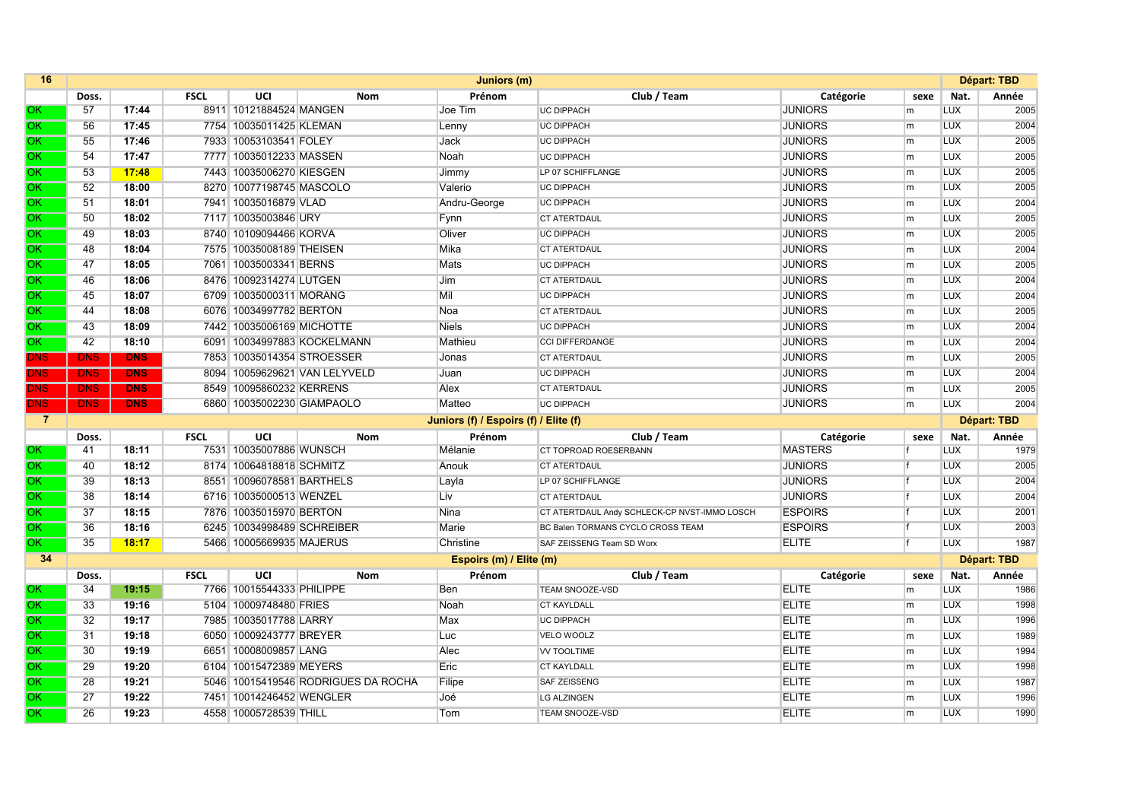| 16             |            | Juniors (m)             |             |                            |                                     |                                       |                                              | Départ: TBD    |                |            |                    |
|----------------|------------|-------------------------|-------------|----------------------------|-------------------------------------|---------------------------------------|----------------------------------------------|----------------|----------------|------------|--------------------|
|                | Doss.      |                         | <b>FSCL</b> | UCI                        | Nom                                 | Prénom                                | Club / Team                                  | Catégorie      | sexe           | Nat.       | Année              |
| OK.            | 57         | 17:44                   |             | 8911 10121884524 MANGEN    |                                     | Joe Tim                               | <b>UC DIPPACH</b>                            | <b>JUNIORS</b> | m              | LUX        | 2005               |
| OK.            | 56         | 17:45                   |             | 7754 10035011425 KLEMAN    |                                     | Lenny                                 | <b>UC DIPPACH</b>                            | <b>JUNIORS</b> | l <sub>m</sub> | <b>LUX</b> | 2004               |
| OK.            | 55         | 17:46                   |             | 7933 10053103541 FOLEY     |                                     | Jack                                  | <b>UC DIPPACH</b>                            | <b>JUNIORS</b> | l <sub>m</sub> | <b>LUX</b> | 2005               |
| OK             | 54         | 17:47                   |             | 7777 10035012233 MASSEN    |                                     | Noah                                  | <b>UC DIPPACH</b>                            | <b>JUNIORS</b> | l <sub>m</sub> | <b>LUX</b> | 2005               |
| OK.            | 53         | 17:48                   |             | 7443 10035006270 KIESGEN   |                                     | Jimmy                                 | LP 07 SCHIFFLANGE                            | <b>JUNIORS</b> | l <sub>m</sub> | <b>LUX</b> | 2005               |
| OK.            | 52         | 18:00                   |             | 8270 10077198745 MASCOLO   |                                     | Valerio                               | <b>UC DIPPACH</b>                            | <b>JUNIORS</b> | lm.            | <b>LUX</b> | 2005               |
| OK.            | 51         | 18:01                   |             | 7941 10035016879 VLAD      |                                     | Andru-George                          | <b>UC DIPPACH</b>                            | <b>JUNIORS</b> | lm.            | <b>LUX</b> | 2004               |
| OK.            | 50         | 18:02                   |             | 7117 10035003846 URY       |                                     | Fynn                                  | <b>CT ATERTDAUL</b>                          | <b>JUNIORS</b> | l <sub>m</sub> | <b>LUX</b> | 2005               |
| OK             | 49         | 18:03                   |             | 8740 10109094466 KORVA     |                                     | Oliver                                | <b>UC DIPPACH</b>                            | <b>JUNIORS</b> | lm.            | <b>LUX</b> | 2005               |
| OK.            | 48         | 18:04                   |             | 7575 10035008189 THEISEN   |                                     | Mika                                  | <b>CT ATERTDAUL</b>                          | <b>JUNIORS</b> | m              | <b>LUX</b> | 2004               |
| OK             | 47         | 18:05                   |             | 7061 10035003341 BERNS     |                                     | Mats                                  | <b>UC DIPPACH</b>                            | <b>JUNIORS</b> | m              | <b>LUX</b> | 2005               |
| OK.            | 46         | 18:06                   |             | 8476 10092314274 LUTGEN    |                                     | Jim                                   | <b>CT ATERTDAUL</b>                          | <b>JUNIORS</b> | m              | <b>LUX</b> | 2004               |
| OK             | 45         | 18:07                   |             | 6709 10035000311 MORANG    |                                     | Mil                                   | <b>UC DIPPACH</b>                            | <b>JUNIORS</b> | m              | <b>LUX</b> | 2004               |
| OK.            | 44         | 18:08                   |             | 6076 10034997782 BERTON    |                                     | Noa                                   | <b>CT ATERTDAUL</b>                          | <b>JUNIORS</b> | l <sub>m</sub> | <b>LUX</b> | 2005               |
| OK.            | 43         | 18:09                   |             | 7442 10035006169 MICHOTTE  |                                     | <b>Niels</b>                          | <b>UC DIPPACH</b>                            | <b>JUNIORS</b> | m              | LUX        | 2004               |
| OK             | 42         | 18:10                   |             |                            | 6091 10034997883 KOCKELMANN         | Mathieu                               | <b>CCI DIFFERDANGE</b>                       | <b>JUNIORS</b> | l <sub>m</sub> | <b>LUX</b> | 2004               |
| ONS            | <b>DNS</b> | <b>DNS</b>              |             | 7853 10035014354 STROESSER |                                     | Jonas                                 | <b>CT ATERTDAUL</b>                          | <b>JUNIORS</b> | m              | <b>LUX</b> | 2005               |
| DNS            | <b>DNS</b> | <b>DNS</b>              |             |                            | 8094 10059629621 VAN LELYVELD       | Juan                                  | <b>UC DIPPACH</b>                            | <b>JUNIORS</b> | m              | <b>LUX</b> | 2004               |
| DNS            | <b>DNS</b> | <b>DNS</b>              |             | 8549 10095860232 KERRENS   |                                     | Alex                                  | <b>CT ATERTDAUL</b>                          | <b>JUNIORS</b> | m              | <b>LUX</b> | 2005               |
| DNS.           | <b>DNS</b> | <b>DNS</b>              |             | 6860 10035002230 GIAMPAOLO |                                     | Matteo                                | <b>UC DIPPACH</b>                            | <b>JUNIORS</b> | l <sub>m</sub> | <b>LUX</b> | 2004               |
| $\overline{7}$ |            |                         |             |                            |                                     | Juniors (f) / Espoirs (f) / Elite (f) |                                              |                |                |            | Départ: TBD        |
|                | Doss.      |                         | <b>FSCL</b> | UCI                        | <b>Nom</b>                          | Prénom                                | Club / Team                                  | Catégorie      | sexe           | Nat.       | Année              |
| OK.            | 41         | 18:11                   |             | 7531 10035007886 WUNSCH    |                                     | Mélanie                               | CT TOPROAD ROESERBANN                        | <b>MASTERS</b> |                | <b>LUX</b> | 1979               |
| OК             | 40         | 18:12                   |             | 8174 10064818818 SCHMITZ   |                                     | Anouk                                 | <b>CT ATERTDAUL</b>                          | <b>JUNIORS</b> |                | <b>LUX</b> | 2005               |
| OK.            | 39         | 18:13                   |             | 8551 10096078581 BARTHELS  |                                     | Layla                                 | LP 07 SCHIFFLANGE                            | <b>JUNIORS</b> |                | <b>LUX</b> | 2004               |
| OK.            | 38         | 18:14                   |             | 6716 10035000513 WENZEL    |                                     | Liv                                   | <b>CT ATERTDAUL</b>                          | <b>JUNIORS</b> |                | <b>LUX</b> | 2004               |
| OK.            | 37         | 18:15                   |             | 7876 10035015970 BERTON    |                                     | Nina                                  | CT ATERTDAUL Andy SCHLECK-CP NVST-IMMO LOSCH | <b>ESPOIRS</b> |                | <b>LUX</b> | 2001               |
| OK.            | 36         | 18:16                   |             | 6245 10034998489 SCHREIBER |                                     | Marie                                 | BC Balen TORMANS CYCLO CROSS TEAM            | <b>ESPOIRS</b> |                | <b>LUX</b> | 2003               |
| OK.            | 35         | 18:17                   |             | 5466 10005669935 MAJERUS   |                                     | Christine                             | SAF ZEISSENG Team SD Worx                    | <b>ELITE</b>   |                | <b>LUX</b> | 1987               |
| 34             |            | Espoirs (m) / Elite (m) |             |                            |                                     |                                       |                                              |                |                |            | <b>Départ: TBD</b> |
|                | Doss.      |                         | <b>FSCL</b> | UCI                        | <b>Nom</b>                          | Prénom                                | Club / Team                                  | Catégorie      | sexe           | Nat.       | Année              |
| OK.            | 34         | 19:15                   |             | 7766 10015544333 PHILIPPE  |                                     | <b>Ben</b>                            | <b>TEAM SNOOZE-VSD</b>                       | <b>ELITE</b>   | lm.            | <b>LUX</b> | 1986               |
| OK.            | 33         | 19:16                   |             | 5104 10009748480 FRIES     |                                     | Noah                                  | <b>CT KAYLDALL</b>                           | <b>ELITE</b>   | l <sub>m</sub> | <b>LUX</b> | 1998               |
| OK.            | 32         | 19:17                   |             | 7985 10035017788 LARRY     |                                     | Max                                   | <b>UC DIPPACH</b>                            | <b>ELITE</b>   | l <sub>m</sub> | <b>LUX</b> | 1996               |
| OK.            | 31         | 19:18                   |             | 6050 10009243777 BREYER    |                                     | Luc                                   | VELO WOOLZ                                   | <b>ELITE</b>   | m              | <b>LUX</b> | 1989               |
| OK.            | 30         | 19:19                   |             | 6651 10008009857 LANG      |                                     | Alec                                  | <b>VV TOOLTIME</b>                           | <b>ELITE</b>   | l <sub>m</sub> | <b>LUX</b> | 1994               |
| OK.            | 29         | 19:20                   |             | 6104 10015472389 MEYERS    |                                     | Eric                                  | <b>CT KAYLDALL</b>                           | <b>ELITE</b>   | m              | <b>LUX</b> | 1998               |
| OK.            | 28         | 19:21                   |             |                            | 5046 10015419546 RODRIGUES DA ROCHA | Filipe                                | <b>SAF ZEISSENG</b>                          | <b>ELITE</b>   | m              | <b>LUX</b> | 1987               |
| OK.            | 27         | 19:22                   |             | 7451 10014246452 WENGLER   |                                     | Joé                                   | <b>LG ALZINGEN</b>                           | <b>ELITE</b>   | m              | <b>LUX</b> | 1996               |
| OK.            | 26         | 19:23                   |             | 4558 10005728539 THILL     |                                     | Tom                                   | <b>TEAM SNOOZE-VSD</b>                       | <b>ELITE</b>   | m              | <b>LUX</b> | 1990               |